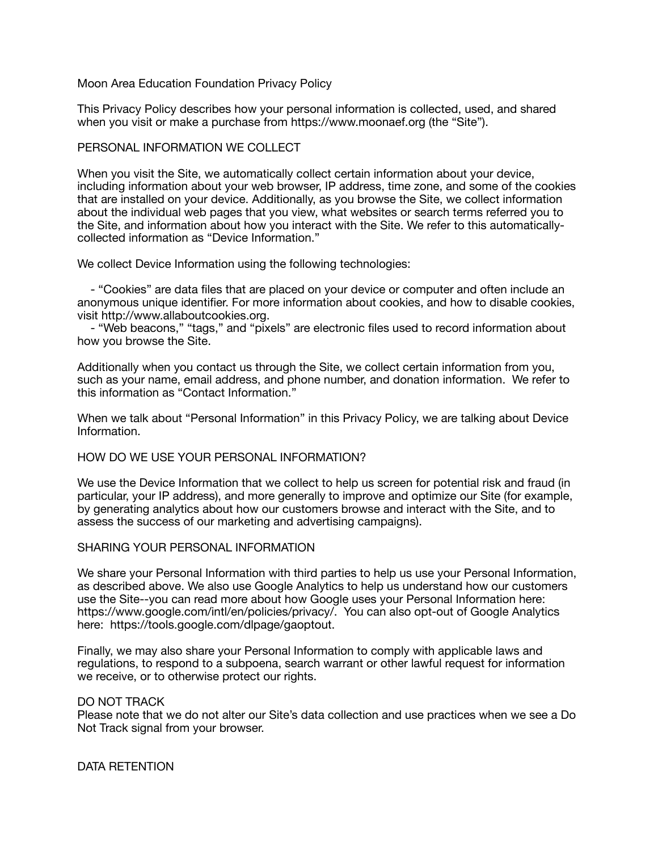# Moon Area Education Foundation Privacy Policy

This Privacy Policy describes how your personal information is collected, used, and shared when you visit or make a purchase from https://www.moonaef.org (the "Site").

## PERSONAL INFORMATION WE COLLECT

When you visit the Site, we automatically collect certain information about your device, including information about your web browser, IP address, time zone, and some of the cookies that are installed on your device. Additionally, as you browse the Site, we collect information about the individual web pages that you view, what websites or search terms referred you to the Site, and information about how you interact with the Site. We refer to this automaticallycollected information as "Device Information."

We collect Device Information using the following technologies:

 - "Cookies" are data files that are placed on your device or computer and often include an anonymous unique identifier. For more information about cookies, and how to disable cookies, visit http://www.allaboutcookies.org.

 - "Web beacons," "tags," and "pixels" are electronic files used to record information about how you browse the Site.

Additionally when you contact us through the Site, we collect certain information from you, such as your name, email address, and phone number, and donation information. We refer to this information as "Contact Information."

When we talk about "Personal Information" in this Privacy Policy, we are talking about Device Information.

#### HOW DO WE USE YOUR PERSONAL INFORMATION?

We use the Device Information that we collect to help us screen for potential risk and fraud (in particular, your IP address), and more generally to improve and optimize our Site (for example, by generating analytics about how our customers browse and interact with the Site, and to assess the success of our marketing and advertising campaigns).

### SHARING YOUR PERSONAL INFORMATION

We share your Personal Information with third parties to help us use your Personal Information, as described above. We also use Google Analytics to help us understand how our customers use the Site--you can read more about how Google uses your Personal Information here: https://www.google.com/intl/en/policies/privacy/. You can also opt-out of Google Analytics here: https://tools.google.com/dlpage/gaoptout.

Finally, we may also share your Personal Information to comply with applicable laws and regulations, to respond to a subpoena, search warrant or other lawful request for information we receive, or to otherwise protect our rights.

#### DO NOT TRACK

Please note that we do not alter our Site's data collection and use practices when we see a Do Not Track signal from your browser.

#### DATA RETENTION